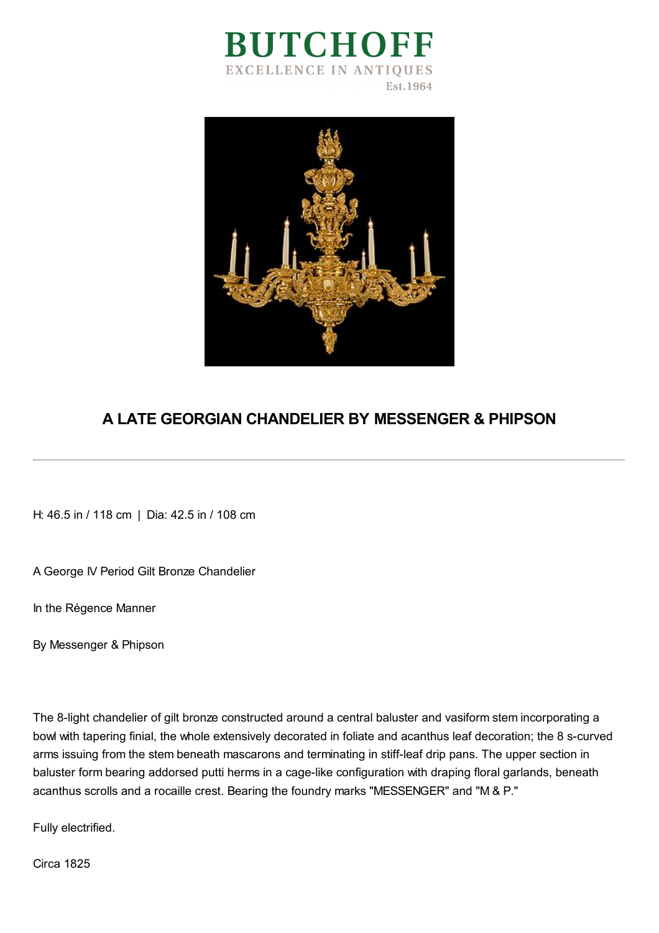



## **A LATE GEORGIAN CHANDELIER BY MESSENGER & PHIPSON**

H: 46.5 in / 118 cm | Dia: 42.5 in / 108 cm

A George IV Period Gilt Bronze Chandelier

In the Régence Manner

By Messenger & Phipson

The 8-light chandelier of gilt bronze constructed around a central baluster and vasiform stem incorporating a bowl with tapering finial, the whole extensively decorated in foliate and acanthus leaf decoration; the 8 s-curved arms issuing from the stem beneath mascarons and terminating in stiff-leaf drip pans. The upper section in baluster form bearing addorsed putti herms in a cage-like configuration with draping floral garlands, beneath acanthus scrolls and a rocaille crest. Bearing the foundry marks "MESSENGER" and "M & P."

Fully electrified.

Circa 1825